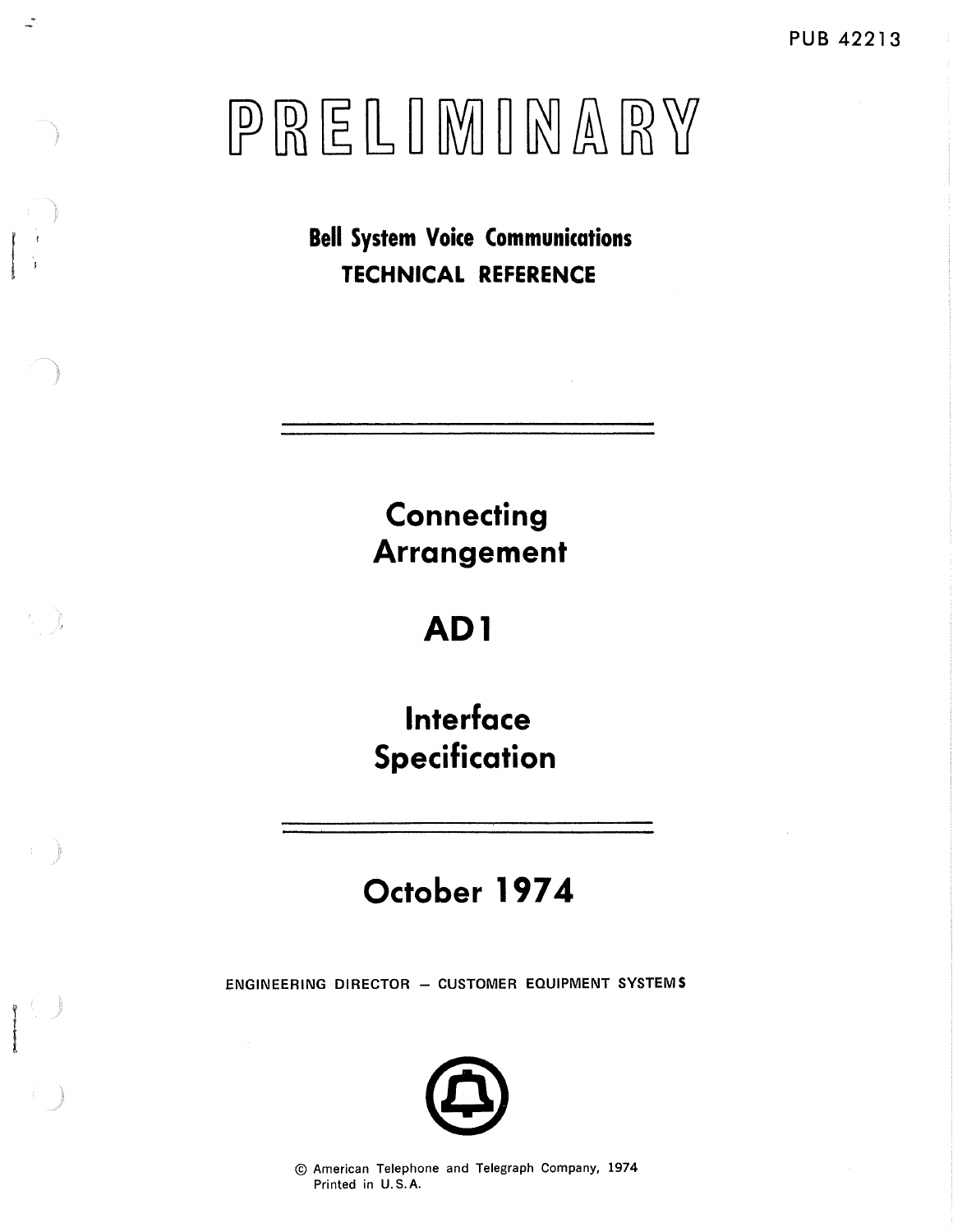**Bell System Voice Communications TECHNICAL REFERENCE** 

 $\int_0^t \frac{1}{t} dt$ i<br>i<br>i

 $\overline{\phantom{a}}$ 

**Connecting Arrangement** 

## **ADl**

**Interface Specification** 

## **October 197 4**

ENGINEERING DIRECTOR - CUSTOMER EQUIPMENT **SYSTEMS** 



@ American Telephone and Telegraph Company, 1974 Printed in U.S.A.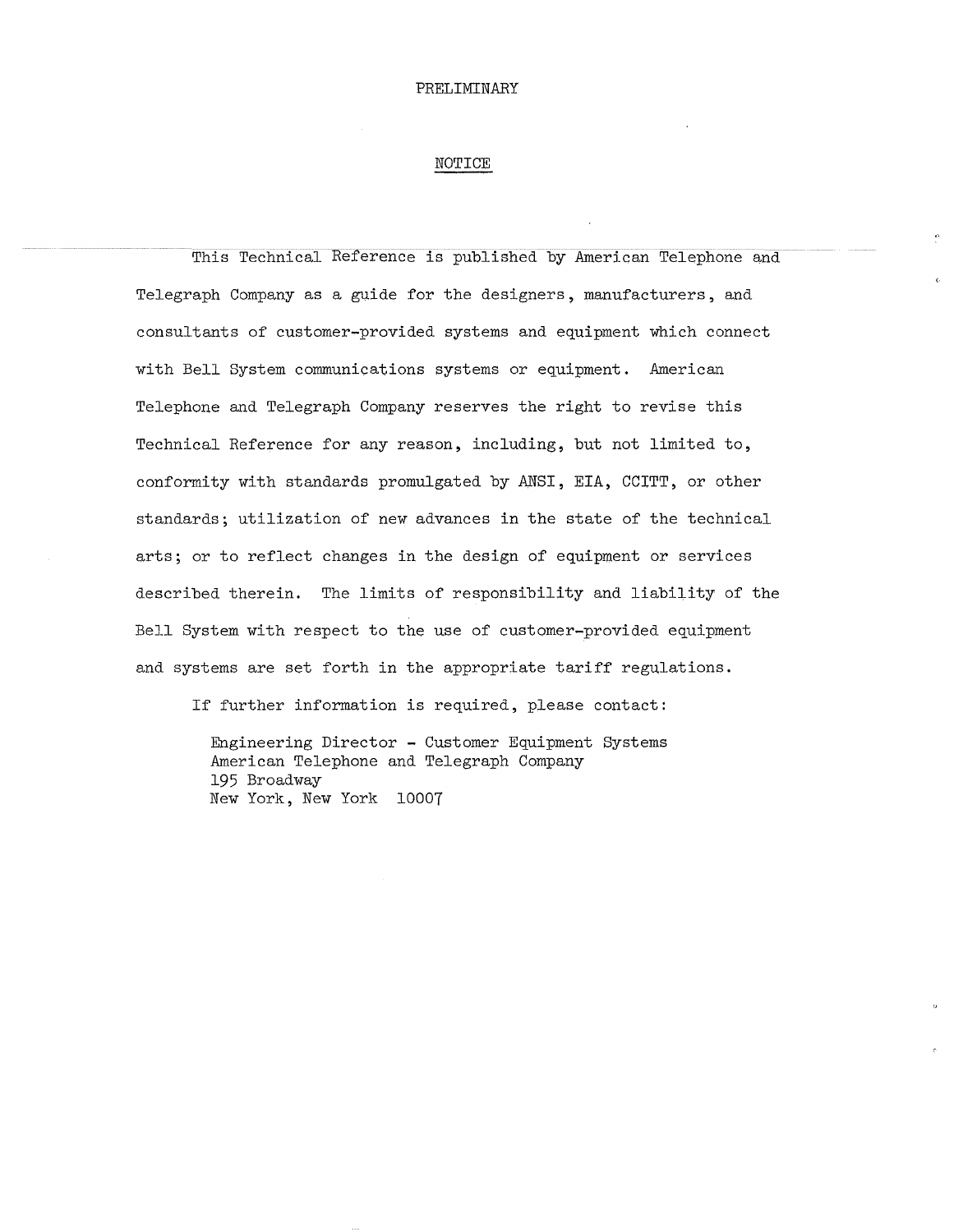## NO'rICE

This Technical Reference is published by American Telephone and Telegraph Company as a guide for the designers, manufacturers, and consultants of customer-provided systems and equipment which connect with Bell System communications systems or equipment. American Telephone and Telegraph Company reserves the right to revise this Technical Reference for any reason, including, but not limited to, conformity with standards promulgated by ANSI, EIA, CCITT, or other standards; utilization of new advances in the state of the technical arts; or to reflect changes in the design of equipment or services described therein. The limits of responsibility and liability of the Bell System with respect to the use of customer-provided equipment and systems are set forth in the appropriate tariff regulations.

If further information is required, please contact:

Engineering Director - Customer Equipment Systems American Telephone and Telegraph Company 195 Broadway New York, New York 10007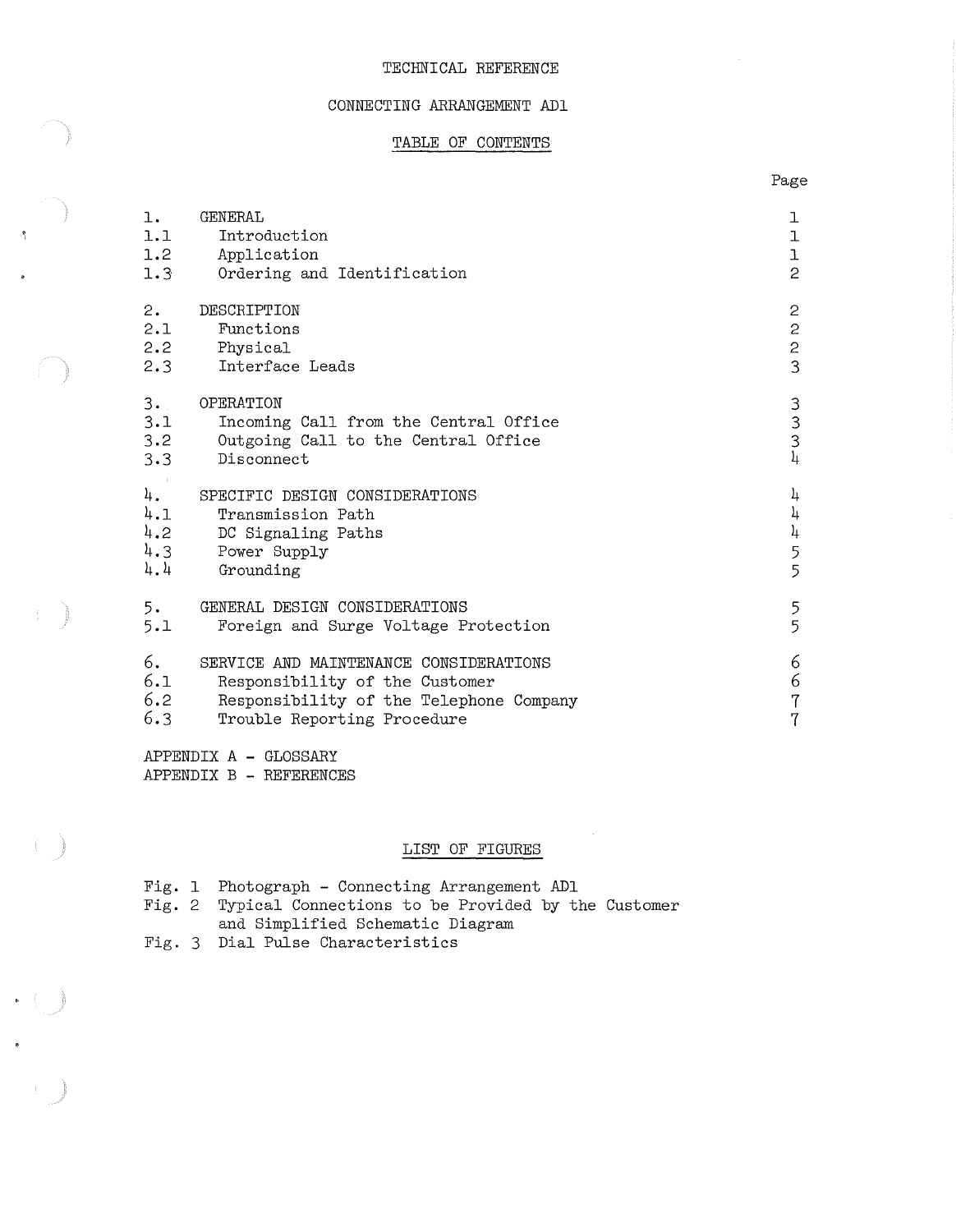## TECHNICAL REFERENCE

## CONNECTING ARRANGEMENT ADl

## TABLE OF CONTENTS

Page

| ı.<br>1.1<br>1.2<br>1.3        | <b>GENERAL</b><br>Introduction<br>Application<br>Ordering and Identification                                                                       | $\mathbf{1}$<br>$\mathbf 1$<br>$\mathbf{I}$<br>$\mathbf{c}$      |
|--------------------------------|----------------------------------------------------------------------------------------------------------------------------------------------------|------------------------------------------------------------------|
| 2.<br>2.1<br>2.2<br>2.3        | DESCRIPTION<br>Functions<br>Physical<br>Interface Leads                                                                                            | $\mathbf{2}$<br>$\overline{c}$<br>$\mathbf{c}$<br>$\overline{3}$ |
| 3.<br>3.1<br>3.2<br>3.3        | OPERATION<br>Incoming Call from the Central Office<br>Outgoing Call to the Central Office<br>Disconnect                                            | 3<br>3<br>3<br>3<br>4                                            |
| 4.<br>4.1<br>4.2<br>4.3<br>4.4 | SPECIFIC DESIGN CONSIDERATIONS<br>Transmission Path<br>DC Signaling Paths<br>Power Supply<br>Grounding                                             | 4<br>4<br>4<br>$\frac{5}{5}$                                     |
| 5.<br>5.1                      | GENERAL DESIGN CONSIDERATIONS<br>Foreign and Surge Voltage Protection                                                                              | $\frac{5}{5}$                                                    |
| б.<br>6.1<br>6.2<br>6.3        | SERVICE AND MAINTENANCE CONSIDERATIONS<br>Responsibility of the Customer<br>Responsibility of the Telephone Company<br>Trouble Reporting Procedure | 6<br>6<br>$\sqrt{7}$<br>$\overline{7}$                           |
|                                |                                                                                                                                                    |                                                                  |

APPENDIX  $A -$  GLOSSARY APPENDIX B - REFERENCES

 $\tilde{\mathcal{E}}$ 

 $\mathbf{B}=\left\{ \begin{array}{ll} 0 & \mathbf{0} \\ \mathbf{0} & \mathbf{0} \end{array} \right.$ 

## LIST OF FIGURES

|  | Fig. 1 Photograph - Connecting Arrangement AD1            |
|--|-----------------------------------------------------------|
|  | Fig. 2 Typical Connections to be Provided by the Customer |
|  | and Simplified Schematic Diagram                          |
|  | Fig. 3 Dial Pulse Characteristics                         |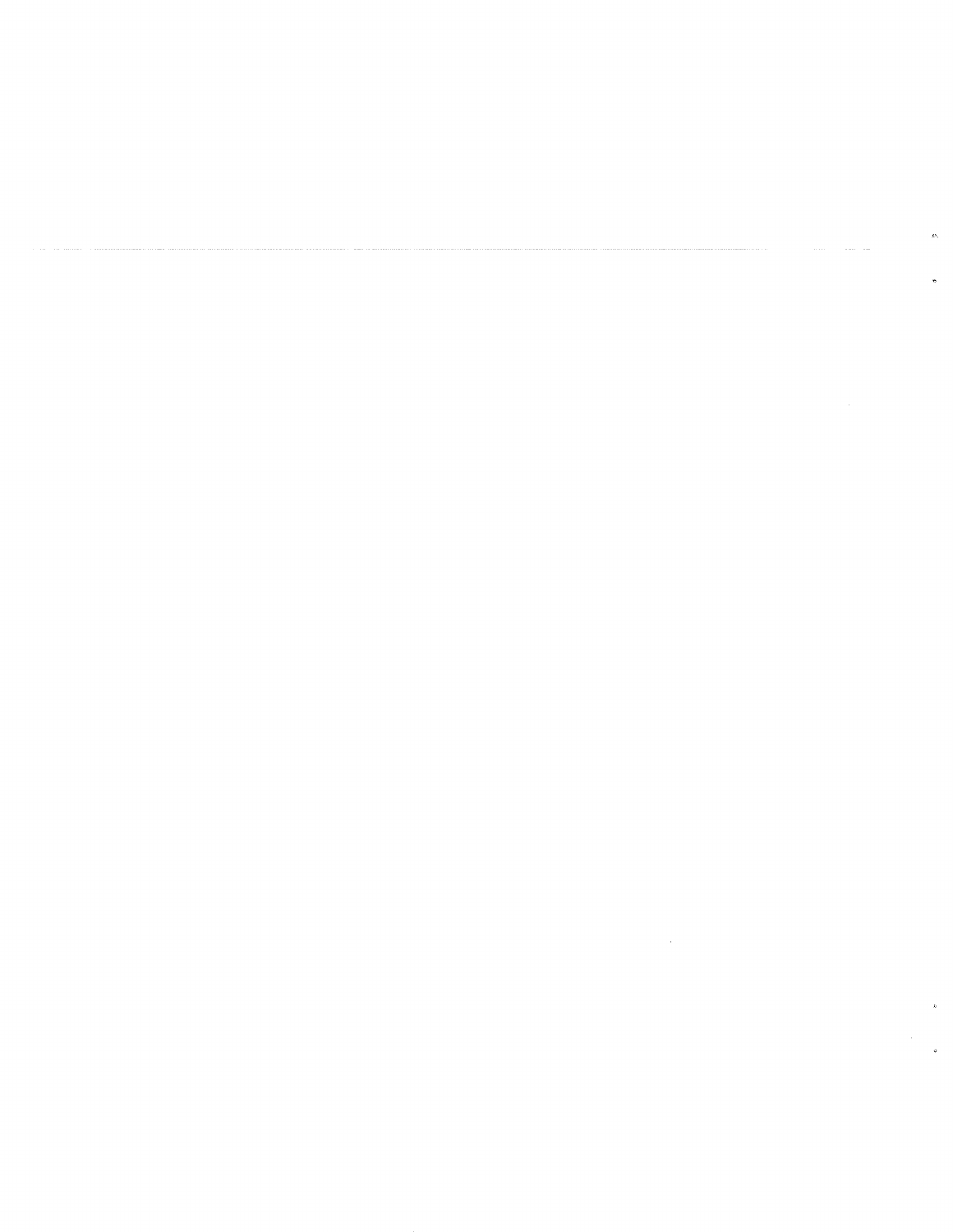$\mathcal{L}^{\text{max}}_{\text{max}}$  and  $\mathcal{L}^{\text{max}}_{\text{max}}$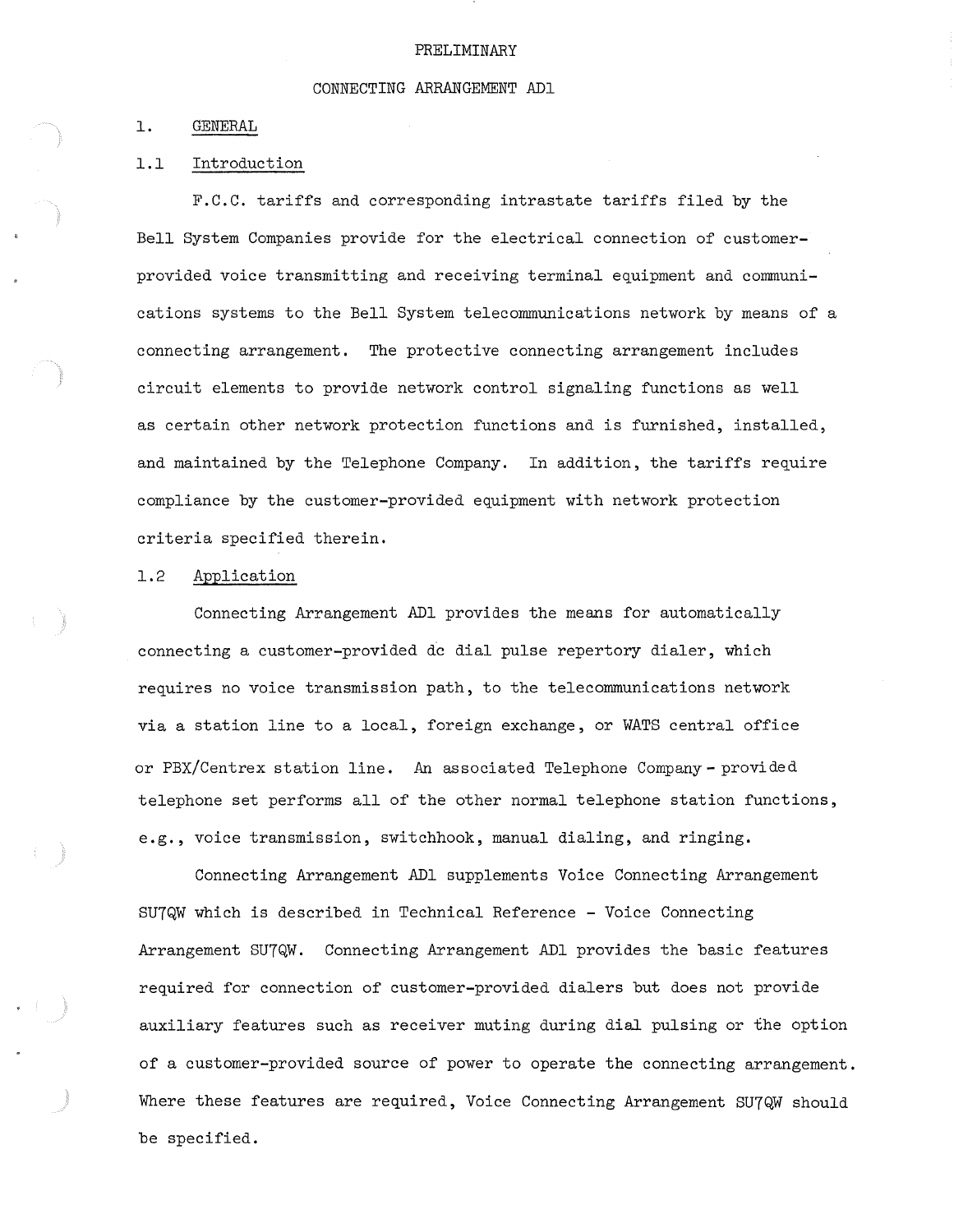## CONNECTING ARRANGEMENT ADl

#### 1. GENERAL

#### 1.1 Introduction

F.C.C. tariffs and corresponding intrastate tariffs filed by the Bell System Companies provide for the electrical connection of customerprovided voice transmitting and receiving terminal equipment and communications systems to the Bell System telecommunications network by means of a connecting arrangement. The protective connecting arrangement includes circuit elements to provide network control signaling functions as well as certain other network protection functions and is furnished, installed, and maintained by the Telephone Company. In addition, the tariffs require compliance by the customer-provided equipment with network protection criteria specified therein.

## 1.2 Application

Connecting Arrangement ADl provides the means for automatically connecting a customer-provided de dial pulse repertory dialer, which requires no voice transmission path, to the telecommunications network via a station line to a local, foreign exchange, or WATS central office or PBX/Centrex station line. An associated Telephone Company - provided telephone set performs all of the other normal telephone station functions, e.g., voice transmission, switchhook, manual dialing, and ringing.

Connecting Arrangement ADl supplements Voice Connecting Arrangement SU7QW which is described in Technical Reference - Voice Connecting Arrangement SU7QW. Connecting Arrangement ADl provides the basic features required for connection of customer-provided dialers but does not provide auxiliary features such as receiver muting during dial pulsing or the option of a customer-provided source of power to operate the connecting arrangement. Where these features are required, Voice Connecting Arrangement SU7QW should be specified.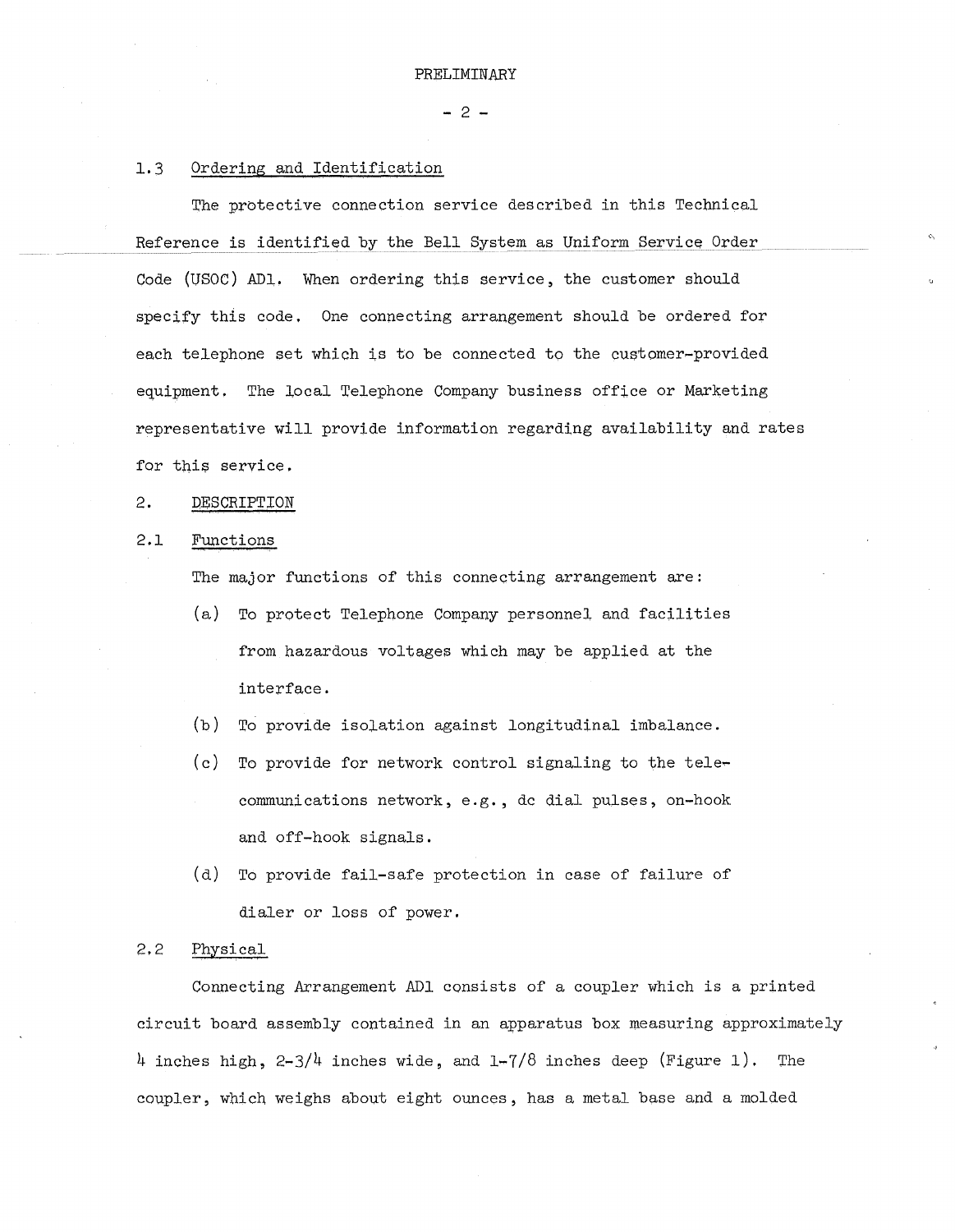- 2 -

#### 1,3 Orderine and Identification

The protective connection service described in this Technical Reference is identified by the Bell System as Uniform Service Order Code (USOC) ADl, When ordering this service, the customer should specify this code, One connecting arrangement should be ordered for each telephone set which is to be connected to the customer-provided equipment, The local Telephone Company business office or Marketing representative will provide information regarding availability and rates for this service.

#### 2. DESCRIPTION

#### 2,1 Functions

The major functions of this connecting arrangement are:

- (a) To protect Telephone Company personnel and facilities from hazardous voltages which may be applied at the interface.
- (b) To provide isolation against longitudinal imbalance.
- (c) To provide for network control signaling to the tele~ communications network, e.g., de dial pulses, on-hook and off-hook signals.
- (d) To provide fail-safe protection in case of failure of dialer or loss of power.

## 2,2 Physical

Connecting Arrangement ADl consists of a coupler which is a printed circuit board assembly contained in an apparatus box measuring approximately 4 inches high,  $2-3/4$  inches wide, and  $1-7/8$  inches deep (Figure 1). The coupler, which weighs about eight ounces, has a metal base and a molded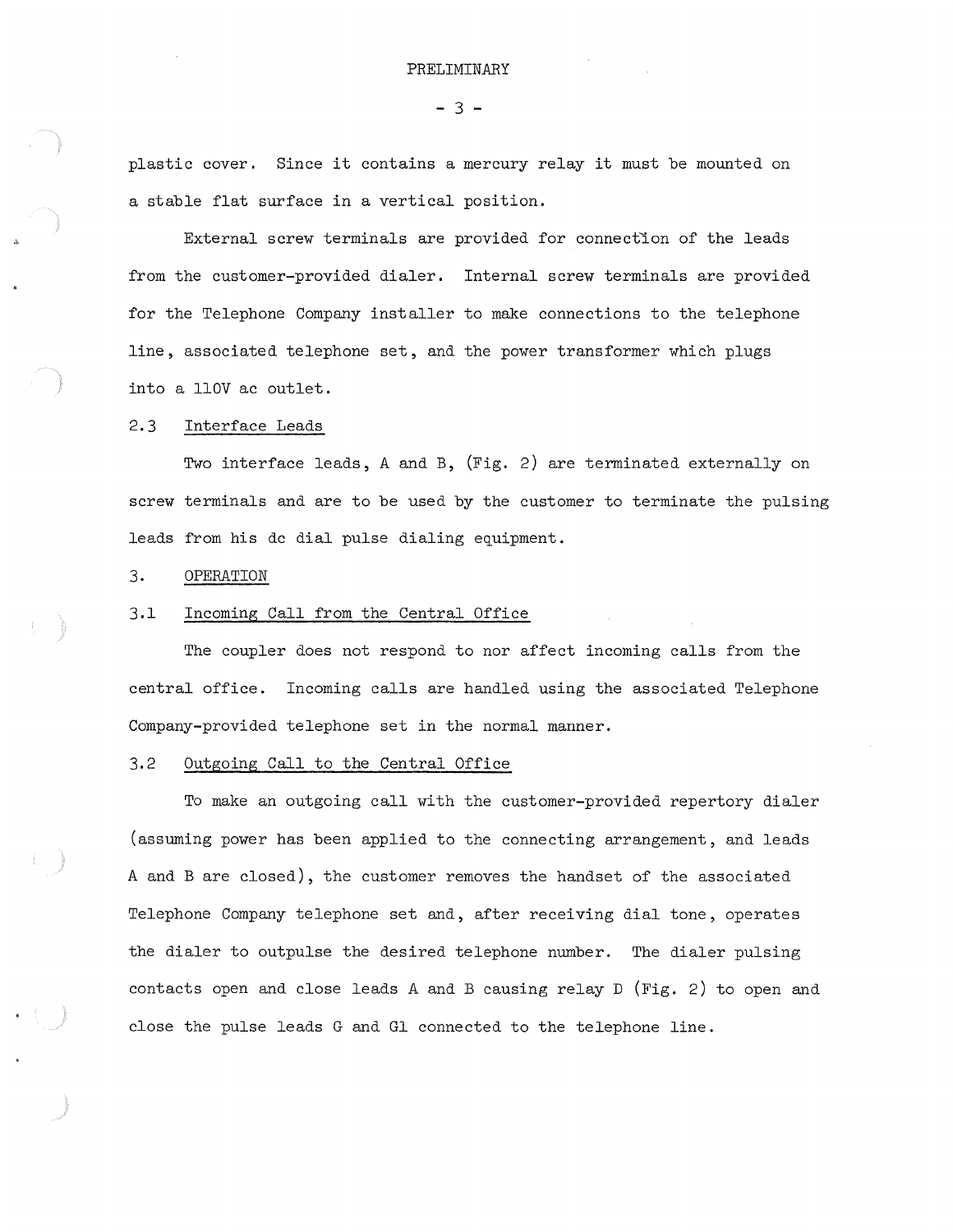## $-3 -$

plastic cover. Since it contains a mercury relay it must be mounted on a stable flat surface in a vertical position.

External screw terminals are provided for connection of the leads from the customer-provided dialer. Internal screw terminals are provided for the Telephone Company installer to make connections to the telephone line, associated telephone set, and the power transformer which plugs into a llOV ac outlet.

## 2.3 Interface Leads

Two interface leads, A and B, (Fig. 2) are terminated externally on screw terminals and are to be used by the customer to terminate the pulsing leads from his de dial pulse dialing eQuipment.

## 3, OPERATION

## 3,1 Incoming Call from the Central Office

The coupler does not respond to nor affect incoming calls from the central office. Incoming calls are handled using the associated Telephone Company-provided telephone set in the normal manner.

## 3.2 Outgoing Call to the Central Office

To make an outgoing call with the customer-provided repertory dialer (assuming power has been applied to the connecting arrangement, and leads A and Bare closed), the customer removes the handset of the associated Telephone Company telephone set and, after receiving dial tone, operates the dialer to outpulse the desired telephone number. The dialer pulsing contacts open and close leads A and B causing relay D (Fig. 2) to open and close the pulse leads G and Gl connected to the telephone line.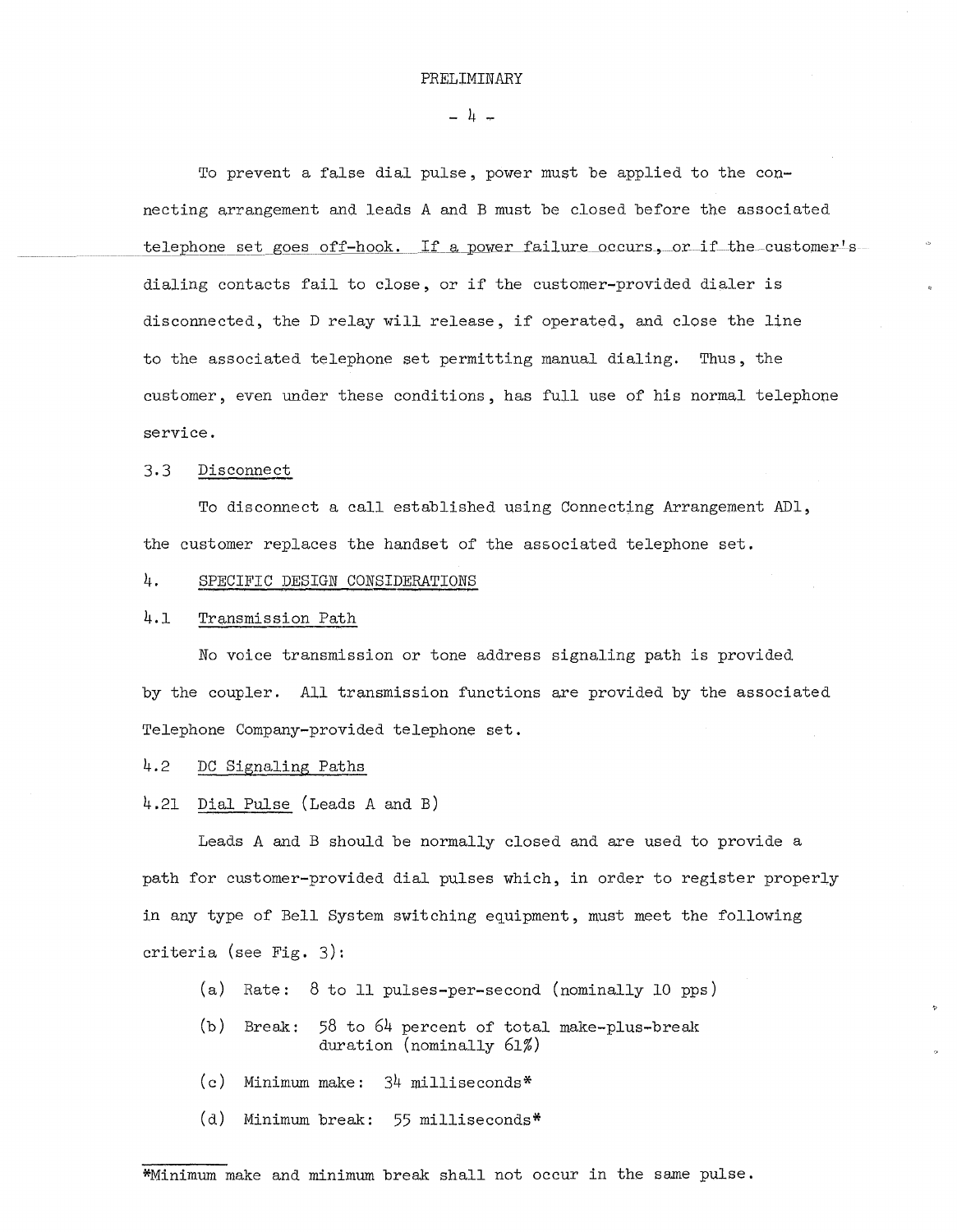$-4 -$ 

To prevent a false dial pulse, power must be applied to the connecting arrangement and leads A and B must be closed before the associated telephone set goes off-hook. If a power failure occurs, or if the customer's dialing contacts fail to close, or if the customer-provided dialer is disconnected, the D relay will release, if operated, and close the line to the associated telephone set permitting manual dialing. Thus, the customer, even under these conditions, has full use of his normal telephone service.

## 3,3 Disconnect

To disconnect a call established using Connecting Arrangement ADl, the customer replaces the handset of the associated telephone set.

#### 4. SPECIFIC DESIGN CONSIDERATIONS

#### 4.1 Transmission Path

No voice transmission or tone address signa,ling path is provided by the coupler. All transmission functions are provided by the associated Telephone Company-provided telephone set.

## 4.2 DC Signaling Paths

## 4.21 Dial Pulse (Leads A and B)

Leads A and B should be normally closed and are used to provide a path for customer-provided dial pulses which, in order to register properly in any type of Bell System switching equipment, must meet the following criteria (see Fig. 3):

- (a) Rate: 8 to 11 pulses-per-second (nominally 10 pps)
- (b) Break: 58 to 64 percent of total make-plus-break duration (nominally 61%)
- (c) Minimum make: 34 milliseconds\*
- (d) Minimum break: 55 milliseconds\*

## \*Minimum make and minimum break shall not occur in the same pulse.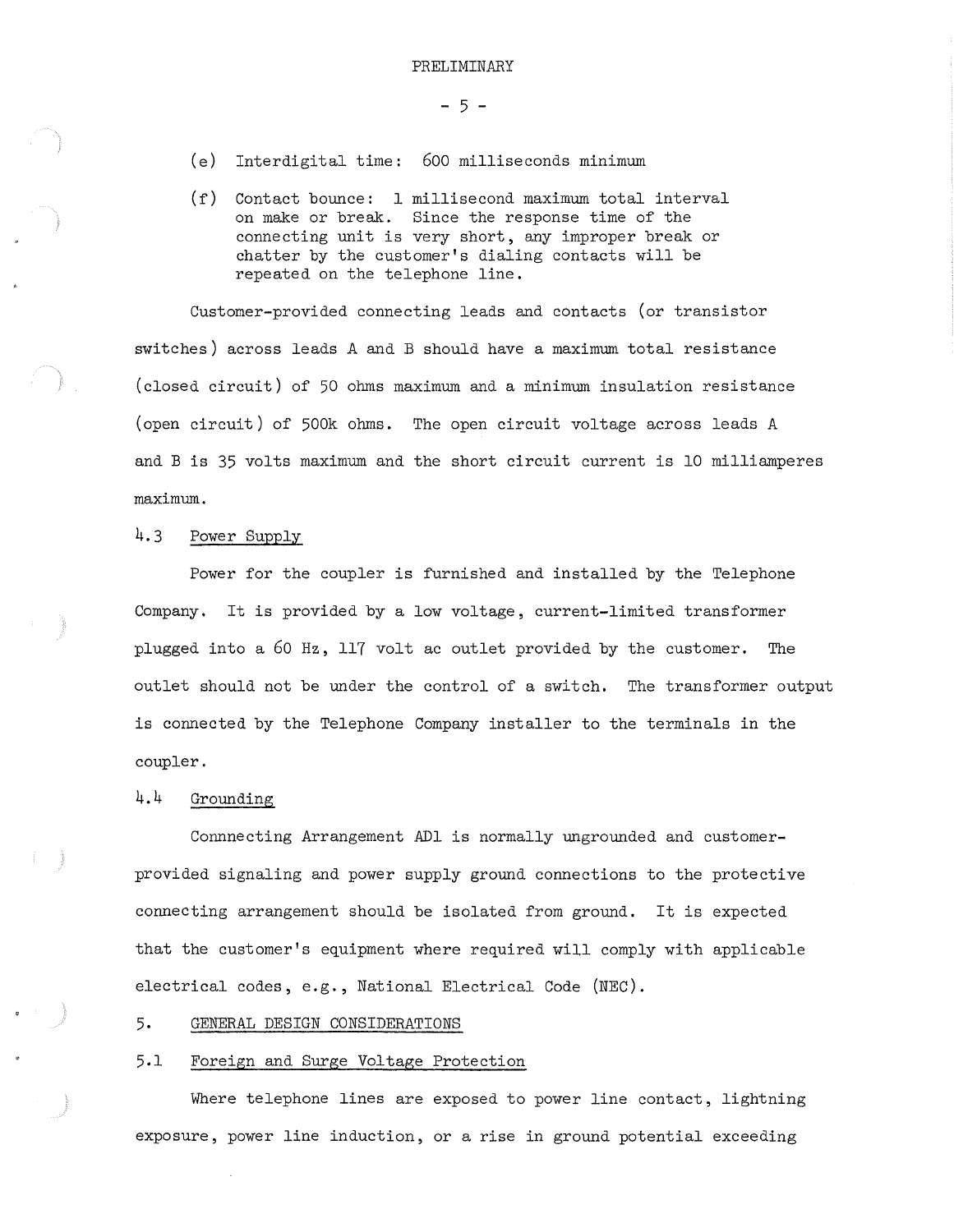$-5 -$ 

- (e) Interdigital time: 600 milliseconds minimum
- (f) Contact bounce: 1 millisecond maximum total interval on make or break. Since the response time of the connecting unit is very short, any improper break or chatter by the customer's dialing contacts will be repeated on the telephone line.

Customer-provided connecting leads and contacts (or transistor switches) across leads A and B should have a maximum total resistance (closed circuit) of 50 ohms maximum and a minimum insulation resistance (open circuit) of 500k ohms. The open circuit voltage across leads A and Bis 35 volts maximum and the short circuit current is 10 milliamperes maximum.

## 4.3 Power Supply

Power for the coupler is furnished and installed by the Telephone Company. It is provided by a low voltage, current-limited transformer plugged into a 60 Hz, 117 volt ac outlet provided by the customer. The outlet should not be under the control of a switch. The transformer output is connected by the Telephone Company installer to the terminals in the coupler.

## 4.4 Grounding

Connnecting Arrangement AD1 is normally ungrounded and customerprovided signaling and power supply ground connections to the protective connecting arrangement should be isolated from ground. It is expected that the customer's equipment where required will comply with applicable electrical codes, e.g., National Electrical Code (NEC).

## 5. GENERAL DESIGN CONSIDERATIONS

## 5,1 Foreign and Surge Voltage Protection

Where telephone lines are exposed to power line contact, lightning exposure, power line induction, or a rise in ground potential exceeding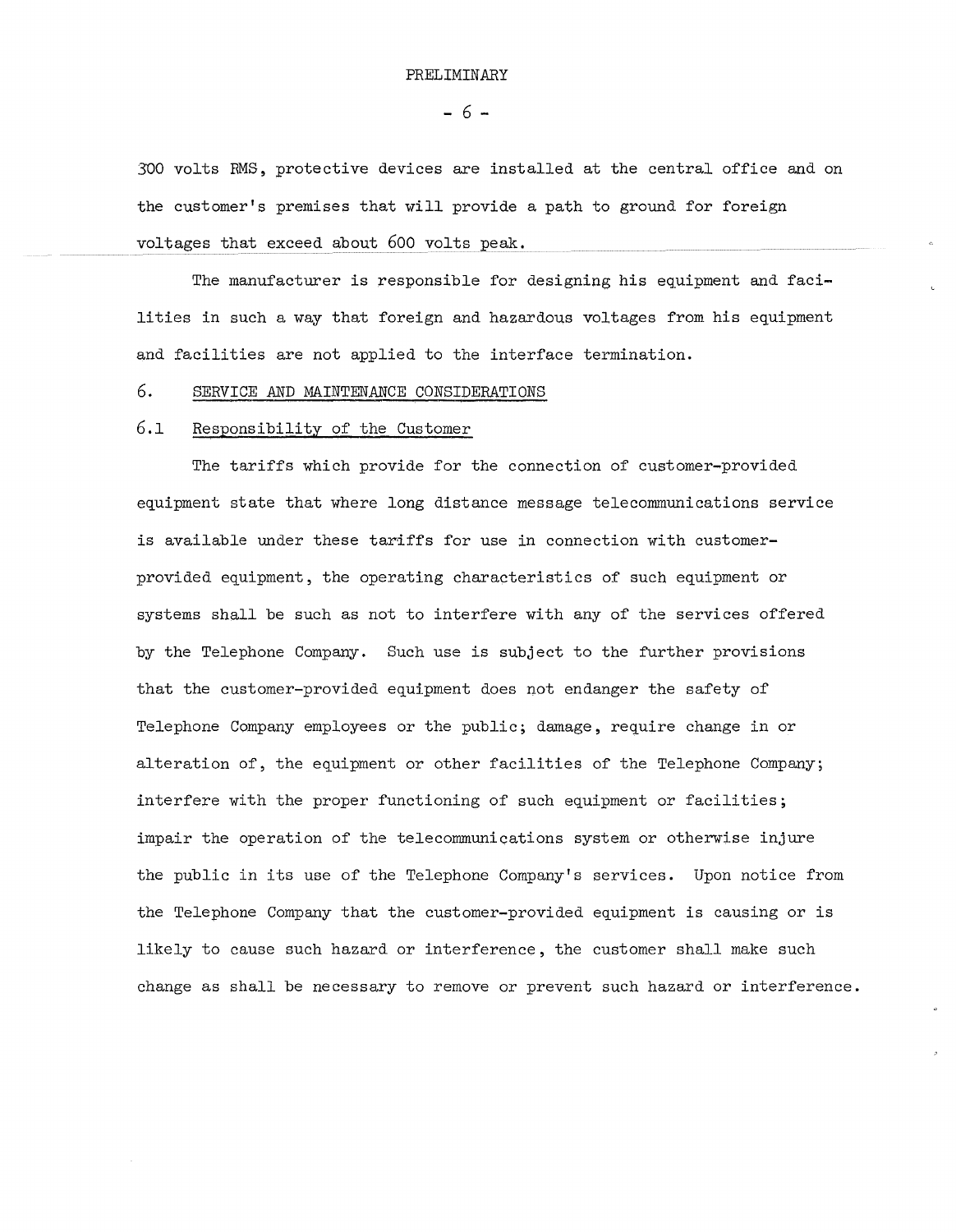- 6 -

300 volts RMS, protective devices are installed at the central office and on the customer's premises that will provide a path to ground for foreign voltages that exceed about 600 volts peak.

The manufacturer is responsible for designing his equipment and facilities in such a way that foreign and hazardous voltages from his equipment and facilities are not applied to the interface termination.

## 6. SERVICE *AND* MAINTENANCE CONSIDERATIONS

## 6.1 Responsibility of the Customer

The tariffs which provide for the connection of customer-provided equipment state that where long distance message telecommunications service is available under these tariffs for use in connection with customerprovided equipment, the operating characteristics of such equipment or systems shall be such as not to interfere with any of the services offered by the Telephone Company. Such use is subject to the further provisions that the customer-provided equipment does not endanger the safety of Telephone Company employees or the public; damage, require change in or alteration of, the equipment or other facilities of the Telephone Company; interfere with the proper functioning of such equipment or facilities; impair the operation of the telecommunications system or otherwise injure the public in its use of the Telephone Company's services. Upon notice from the Telephone Company that the customer-provided equipment is causing or is likely to cause such hazard or interference, the customer shall make such change as shall be necessary to remove or prevent such hazard or interference.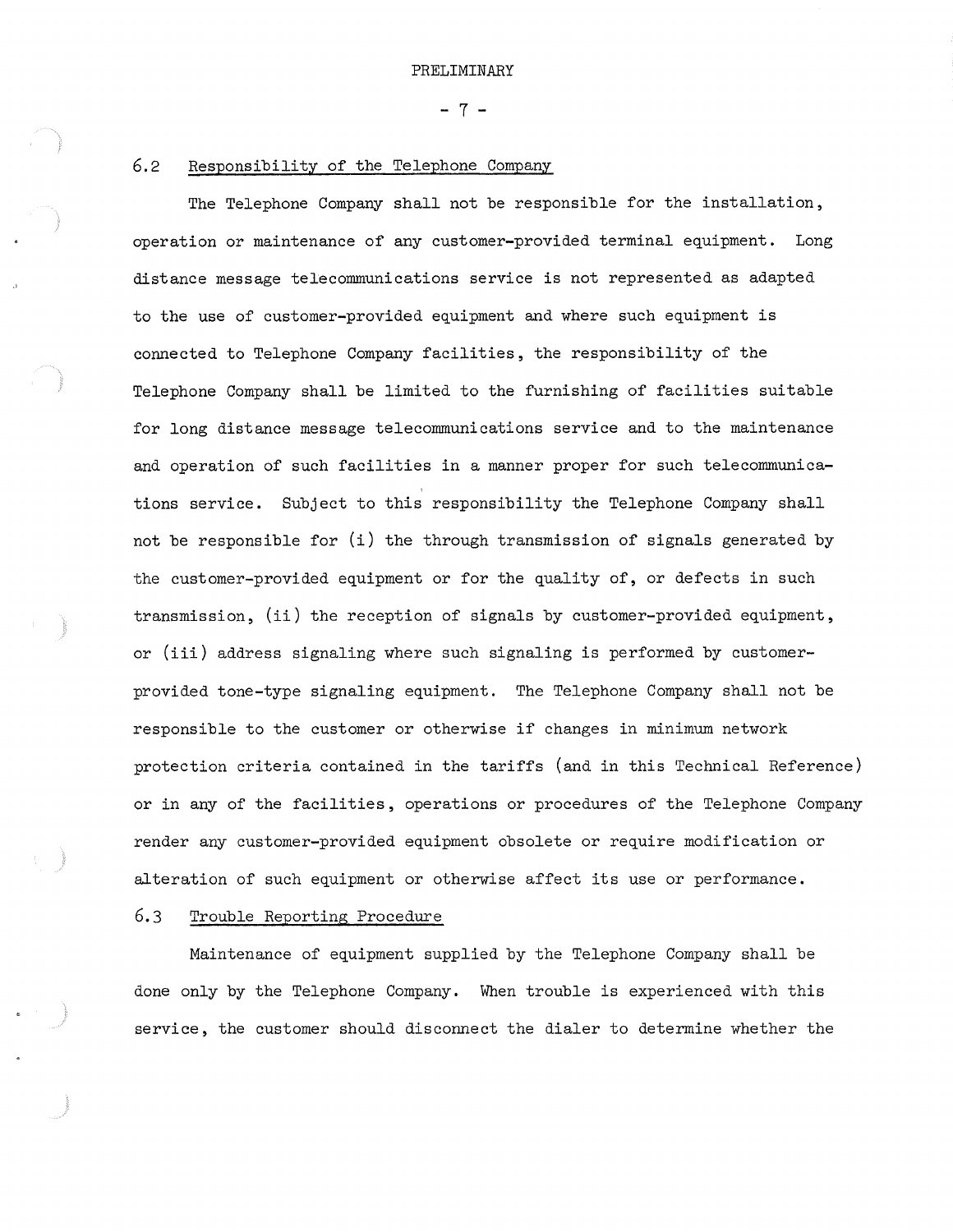- 7 -

#### 6.2 Responsibility of the Telephone Company

The Telephone Company shall not be responsible for the installation, operation or maintenance of any customer-provided terminal equipment. Long distance message telecommunications service is not represented as adapted to the use of customer-provided equipment and where such equipment is connected to Telephone Company facilities, the responsibility of the Telephone Company shall be limited to the furnishing of facilities suitable for long distance message telecommunications service and to the maintenance and operation of such facilities in a manner proper for such telecommunications service. Subject to this responsibility the Telephone Company shall not be responsible for (i) the through transmission of signals generated by the customer-provided equipment or for the quality of, or defects in such transmission, (ii) the reception of signals by customer-provided equipment, or (iii) address signaling where such signaling is performed by customerprovided tone-type signaling equipment. The Telephone Company shall not be responsible to the customer or otherwise if changes in minimum network protection criteria contained in the tariffs (and in this Technical Reference) or in any of the facilities, operations or procedures of the Telephone Company render any customer-provided equipment obsolete or require modification or alteration of such equipment or otherwise affect its use or performance.

## 6.3 Trouble Reporting Procedure

Maintenance of equipment supplied by the Telephone Company shall be done only by the Telephone Company. When trouble is experienced with this service, the customer should disconnect the dialer to determine whether the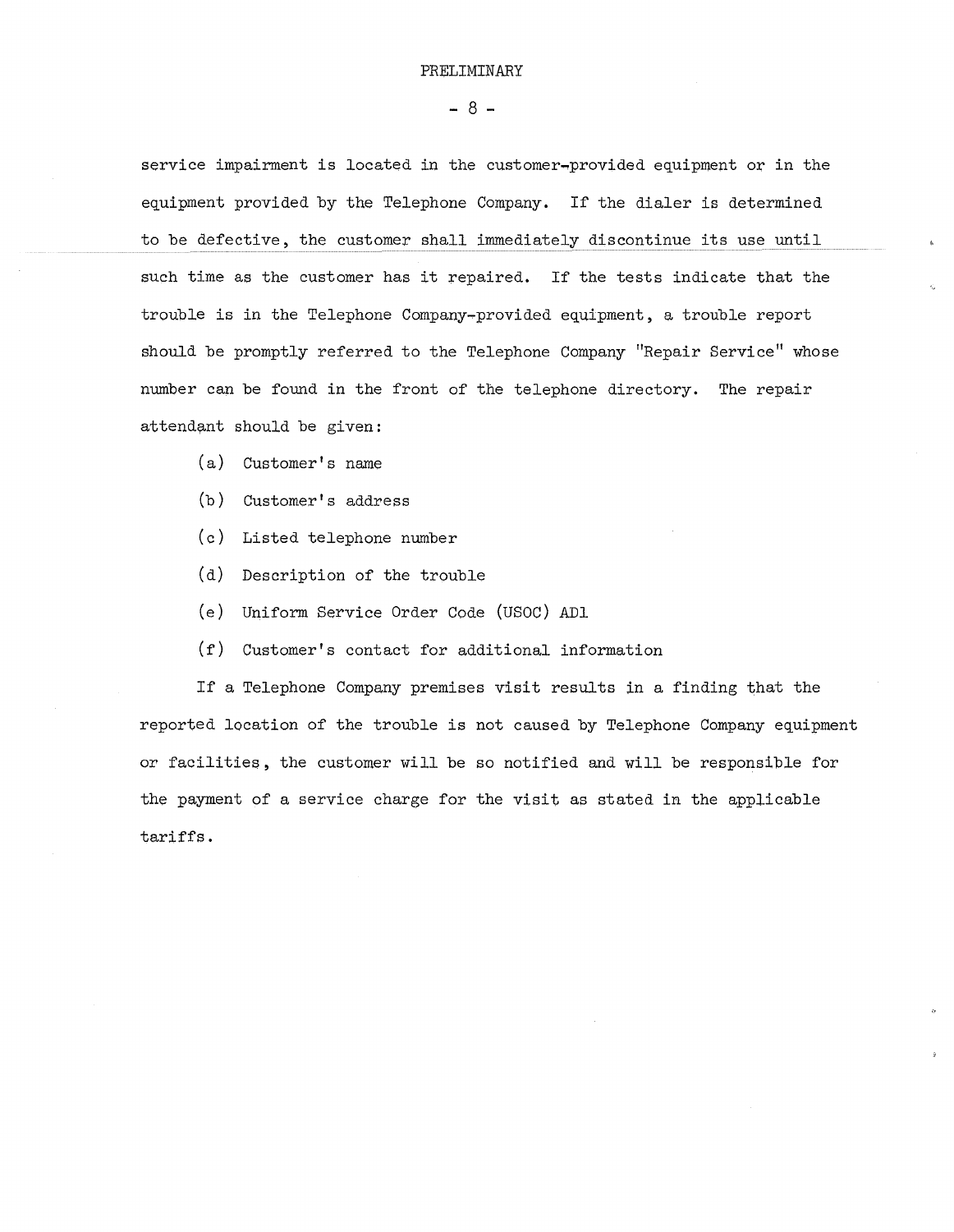service impairment is located in the customer-provided equipment or in the equipment provided by the Telephone Company. If the dialer is determined to be defective, the customer shall immediately discontinue its use until such time as the customer has it repaired. If the tests indicate that the trouble is in the Telephone Company-provided equipment, a trouble report should be promptly referred to the Telephone Company "Repair Service" whose number can be found in the front of the telephone directory. The repair attendant should be given:

- (a) Customer's name
- (b) Customer's address
- (c) Listed telephone number
- (d) Description of the trouble
- (e) Uniform Service Order Code (USOC) ADl
- (f) Customer's contact for additional information

If a Telephone Company premises visit results in a finding that the reported location of the trouble is not caused by Telephone Company equipment or facilities, the customer will be so notified and will be responsible for the payment of a service charge for the visit as stated in the applicable tariffs.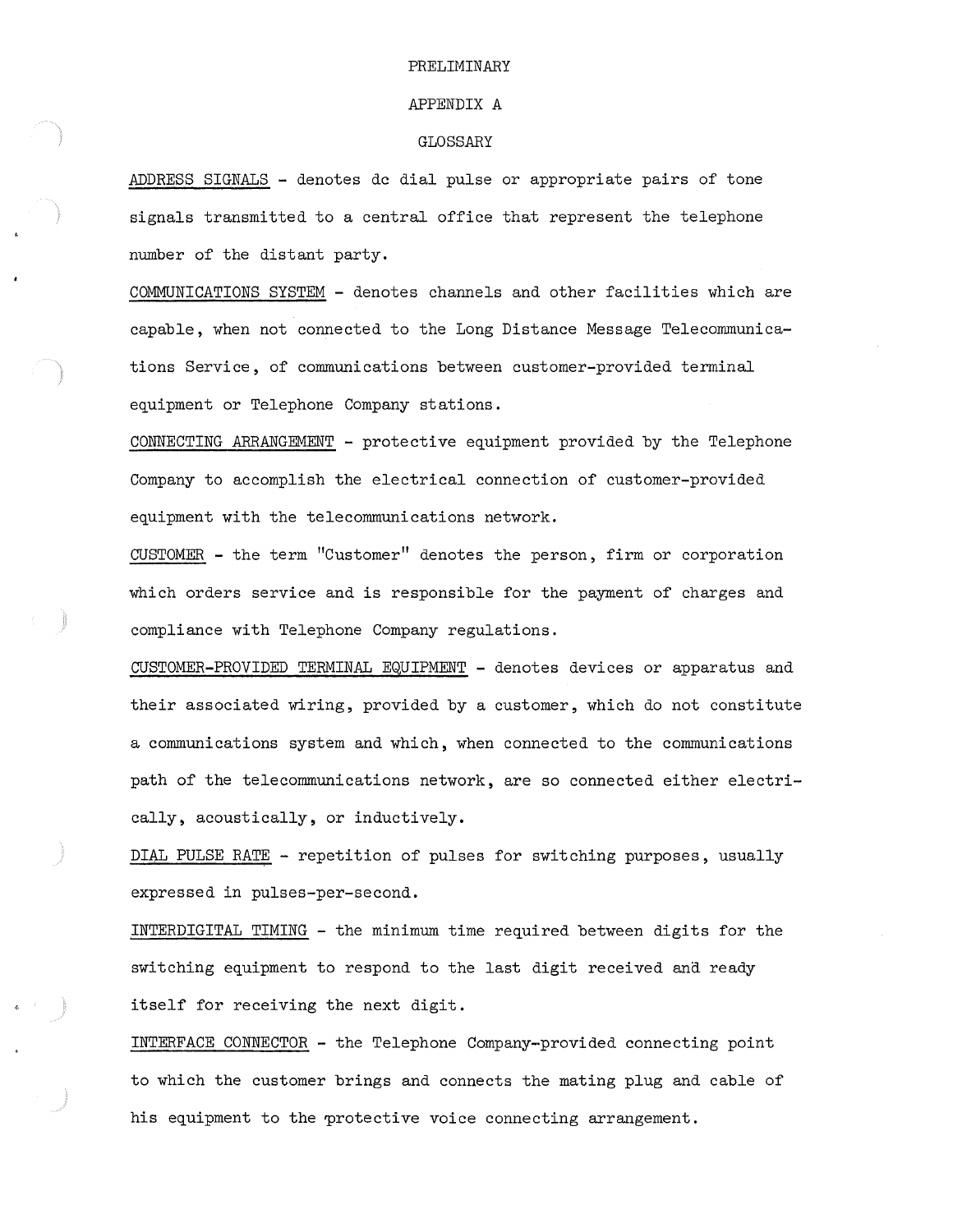## APPENDIX A

### GLOSSARY

ADDRESS SIGNALS - denotes de dial pulse or appropriate pairs of tone signals transmitted to a central office that represent the telephone number of the distant party.

COMMUNICATIONS SYSTEM - denotes channels and other facilities which are capable, when not connected to the Long Distance Message Telecommunications Service, of communications between customer-provided terminal equipment or Telephone Company stations.

 $COMNECTING ARRANGEMENT - protective equipment provided by the Telephone$ Company to accomplish the electrical connection of customer-provided equipment with the telecommunications network.

CUSTOMER - the term "Customer" denotes the person, firm or corporation which orders service and is responsible for the payment of charges and compliance with Telephone Company regulations.

CUSTOMER-PROVIDED TERMINAL EQUIPMENT - denotes devices or apparatus and their associated wiring, provided by a customer, which do not constitute a communications system and which, when connected to the communications path of the telecommunications network, are so connected either electrically, acoustically, or inductively.

DIAL PULSE RATE - repetition of pulses for switching purposes, usually expressed in pulses-per-second.

INTERDIGITAL TIMING - the minimum time required between digits for the switching equipment to respond to the last digit received and ready itself for receiving the next digit.

INTERFACE CONNECTOR - the Telephone Company-provided connecting point to which the customer brings and connects the mating plug and cable of his equipment to the protective voice connecting arrangement.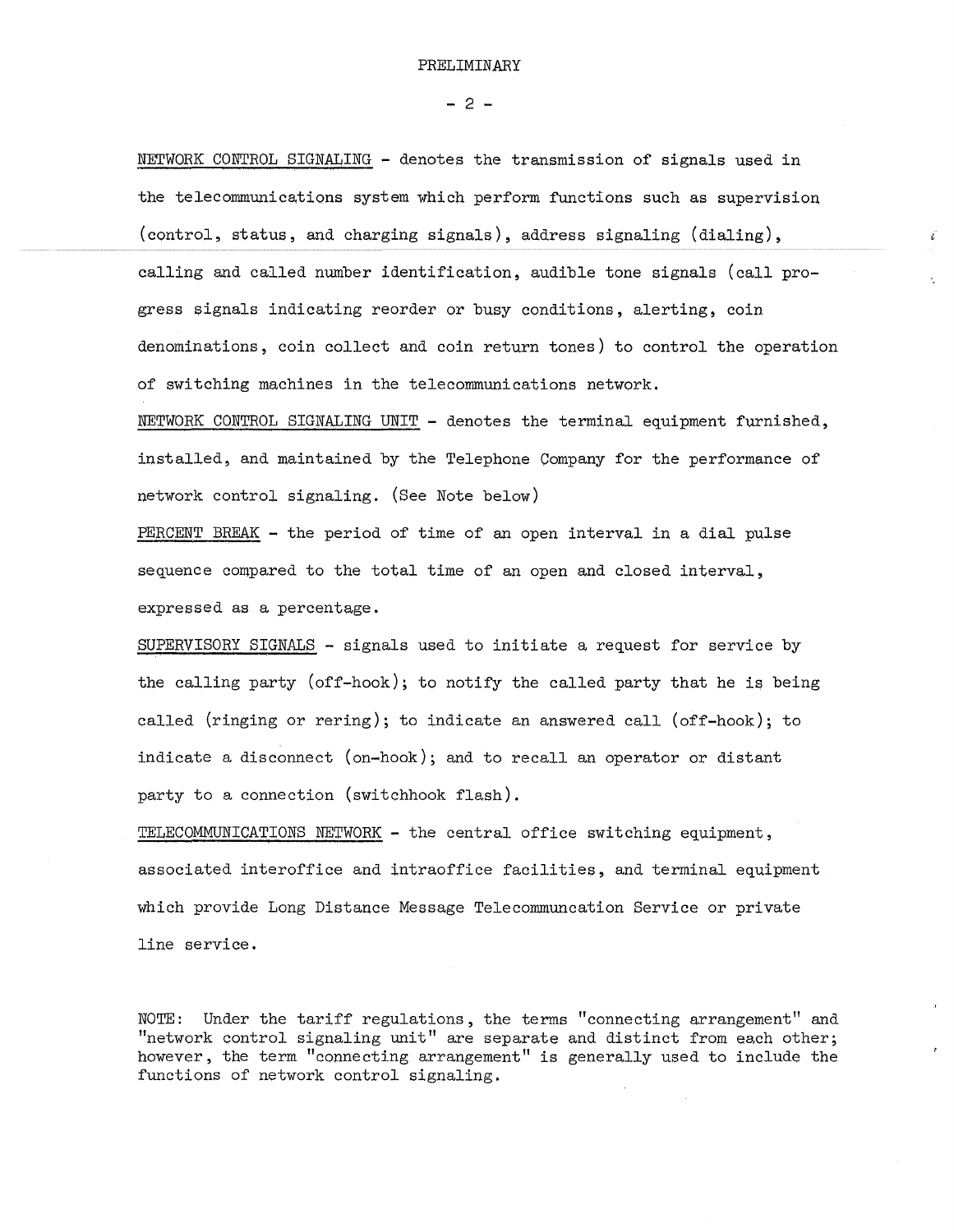$- 2 -$ 

NETWORK CONTROL SIGNALING - denotes the transmission of signals used in the telecommunications system which perform functions such as supervision (control, status, and charging signals), address signaling (dialing), calling and called number identification, audible tone signals (call progress signals indicating reorder or busy conditions, alerting, coin denominations, coin collect and coin return tones) to control the operation of switching machines in the telecommunications network.

έ

NETWORK CONTROL SIGNALING UNIT - denotes the terminal equipment furnished, installed, and maintained by the Telephone Company for the performance of network control signaling. (See Note below)

PERCENT BREAK - the period of time of an open interval in a dial pulse sequence compared to the total time of an open and closed interval, expressed as a percentage.

SUPERVISORY SIGNALS - signals used to initiate a request for service by the calling party (off-hook); to notify the called party that he is being called (ringing or rering); to indicate an answered call (off-hook); to indicate a disconnect (on-hook); and to recall an operator or distant party to a connection (switchhook flash).

TELECOMMUNICATIONS NETWORK - the central office switching equipment, associated interoffice and intraoffice facilities, and terminal equipment which provide Long Distance Message Telecommuncation Service or private line service.

NOTE: Under the tariff regulations, the terms "connecting arrangement" and "network control signaling unit" are separate and distinct from each other; however, the term "connecting arrangement" is generally used to include the functions of network control signaling.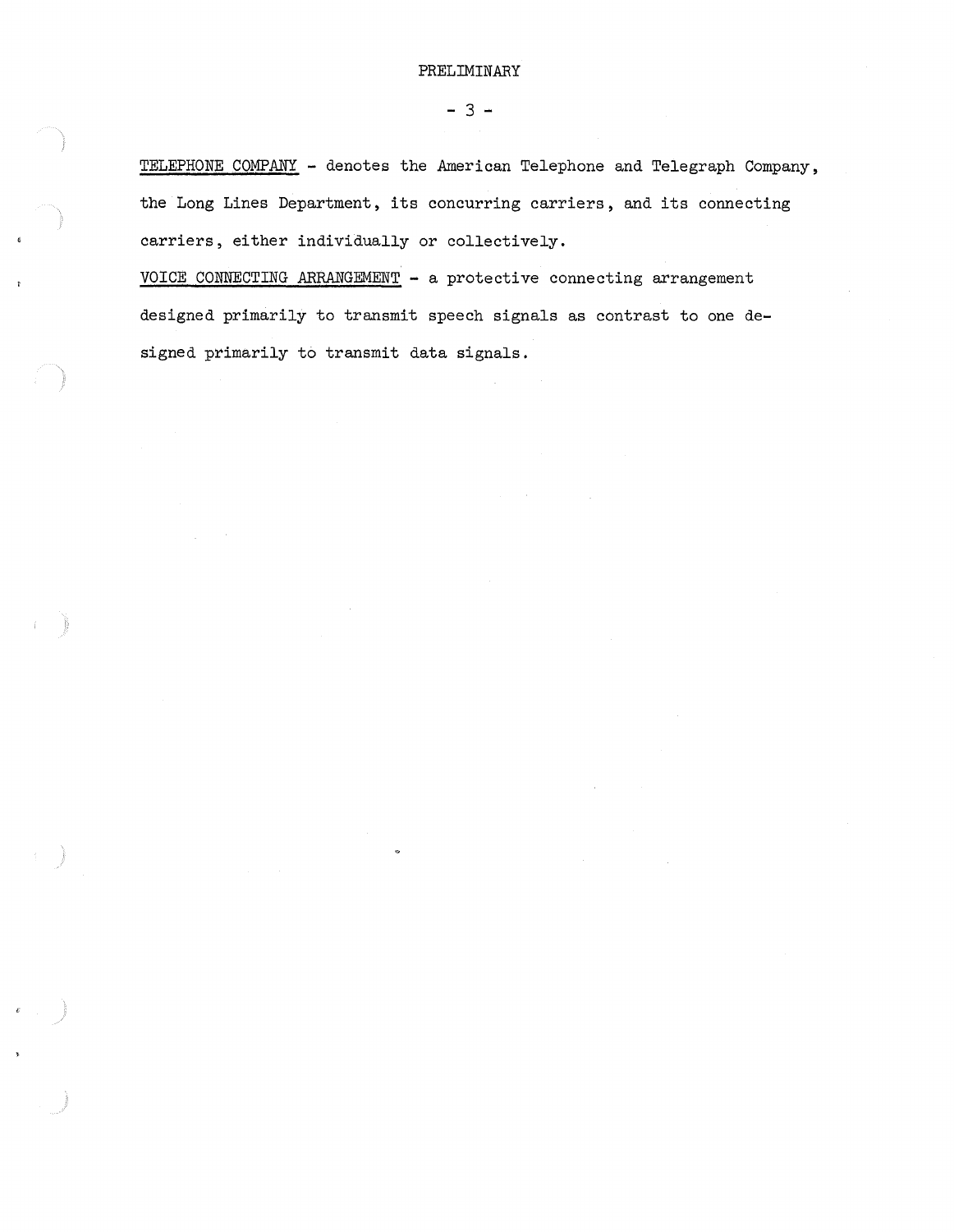TELEPHONE COMPANY - denotes the American Telephone and Telegraph Company, the Long Lines Department, its concurring carriers, and its connecting carriers, either individually or collectively.

VOICE CONNECTING ARRANGEMENT - a protective connecting arrangement designed primarily to transmit speech signals as contrast to one designed primarily to transmit data signals.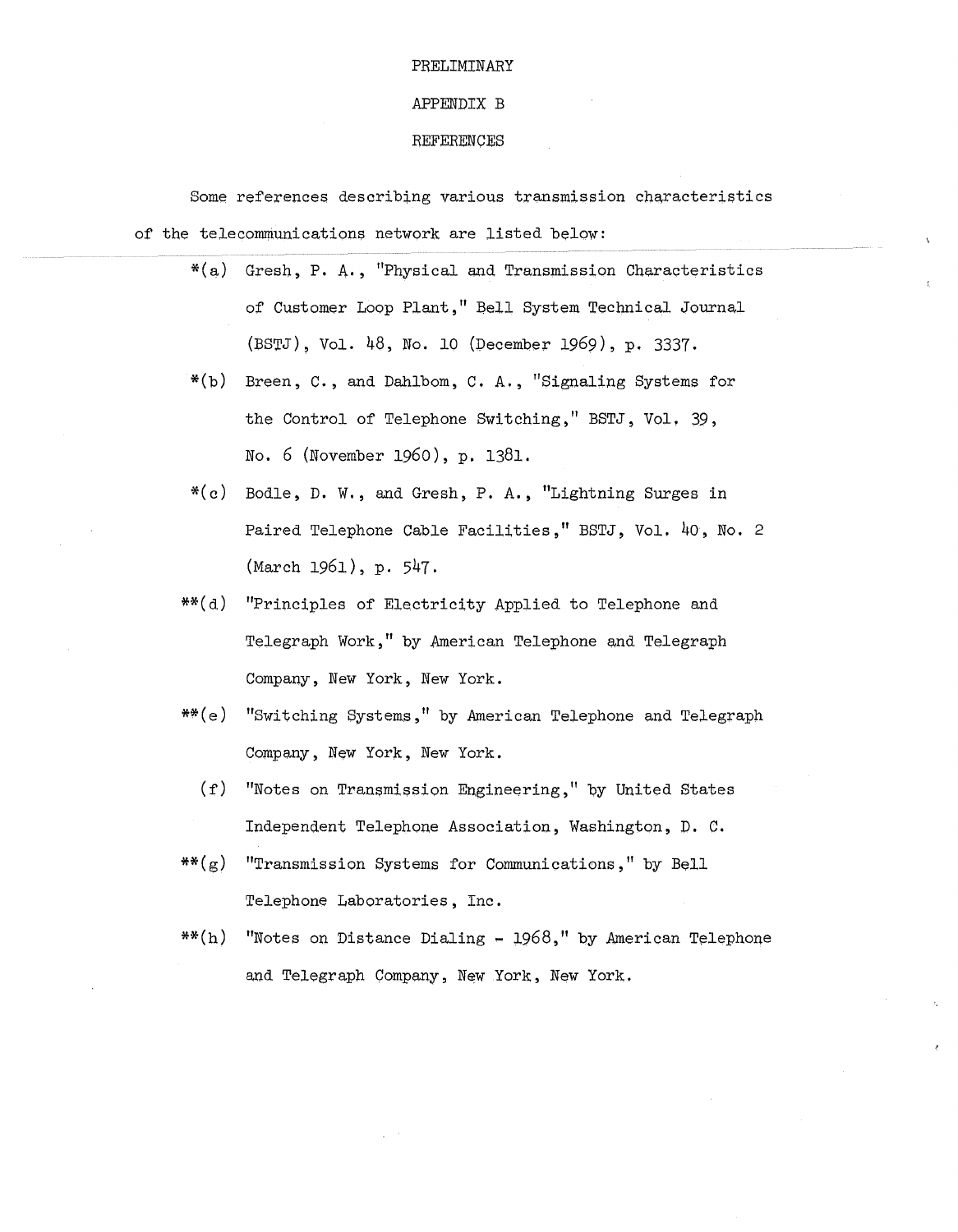## APPENDIX B

## REFERENCES

Some references describing various transmission characteristics of the telecommunications network are listed below:

- \*( a) Gresh, P. A,, "Physical and Transmission Characteristics of Customer Loop Plant," Bell System Technical Journal (BSTJ), Vol. 48, No. 10 (December 1969), p. 3337,
- \*(b) Breen, C., and Dahlbom, C, A,, "Signaling Systems for the Control of Telephone Switching," BSTJ, Vol, 39, No. 6 (November 1960), p. 1381.
- \*(c) Bodle, D. W., and Gresh, P. A., "Lightning Surges in Paired Telephone Cable Facilities," BSTJ, Vol. 40, No. 2 (March 1961), p. 547,
- \*\*(d) "Principles of Electricity Applied to Telephone and Telegraph Work," by American Telephone and Telegraph Company, New York, New York.
- \*\*(e) "Switching Systems," by American Telephone and Telegraph Company, New York, New York.
	- (f) "Notes on Transmission Engineering," oy United States Independent Telephone Association, Washington, D, C.
- \*\*(g) "Transmission Systems for Communications," by Bell Telephone Laboratories, Inc.
- \*\*(h) "Notes on Distance Dialing  $1968$ ," by American Telephone and Telegraph Company, New York, New York.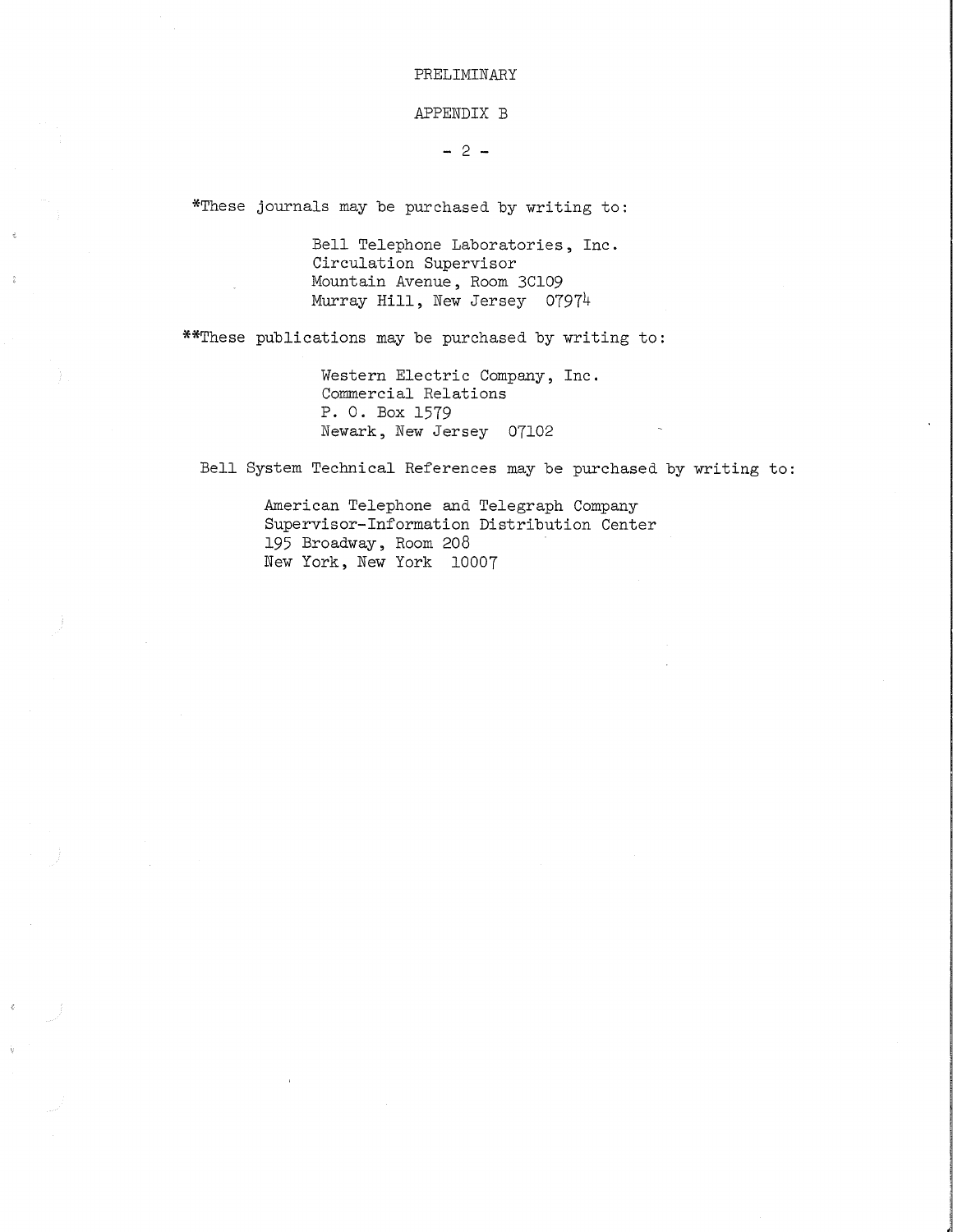## APPENDIX B

 $- 2 -$ 

\*These journals may be purchased by writing to:

Bell Telephone Laboratories, Inc. Circulation Supervisor Mountain Avenue, Room 3Cl09 Murray Hill, New Jersey 07974

\*\*These publications may be purchased by writing to:

Western Electric Company, Inc. Commercial Relations P. 0. Box 1579 Newark, New Jersey 07102

Bell System Technical References may be purchased by writing to:

American Telephone and Telegraph Company Supervisor-Information Distribution Center 195 Broadway, Room 208 New York, New York 10007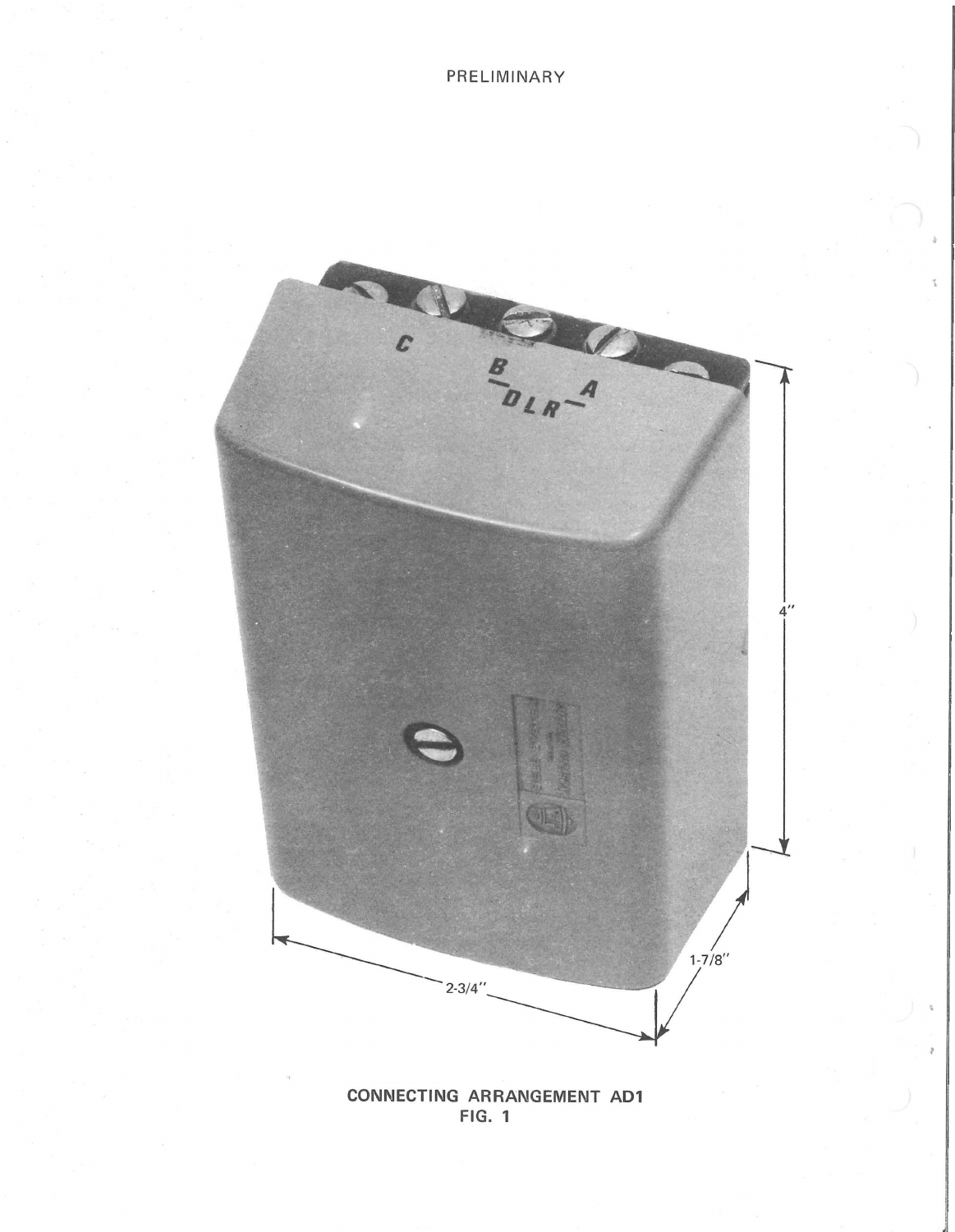

## **CONNECTING ARRANGEMENT AD1 FIG. 1**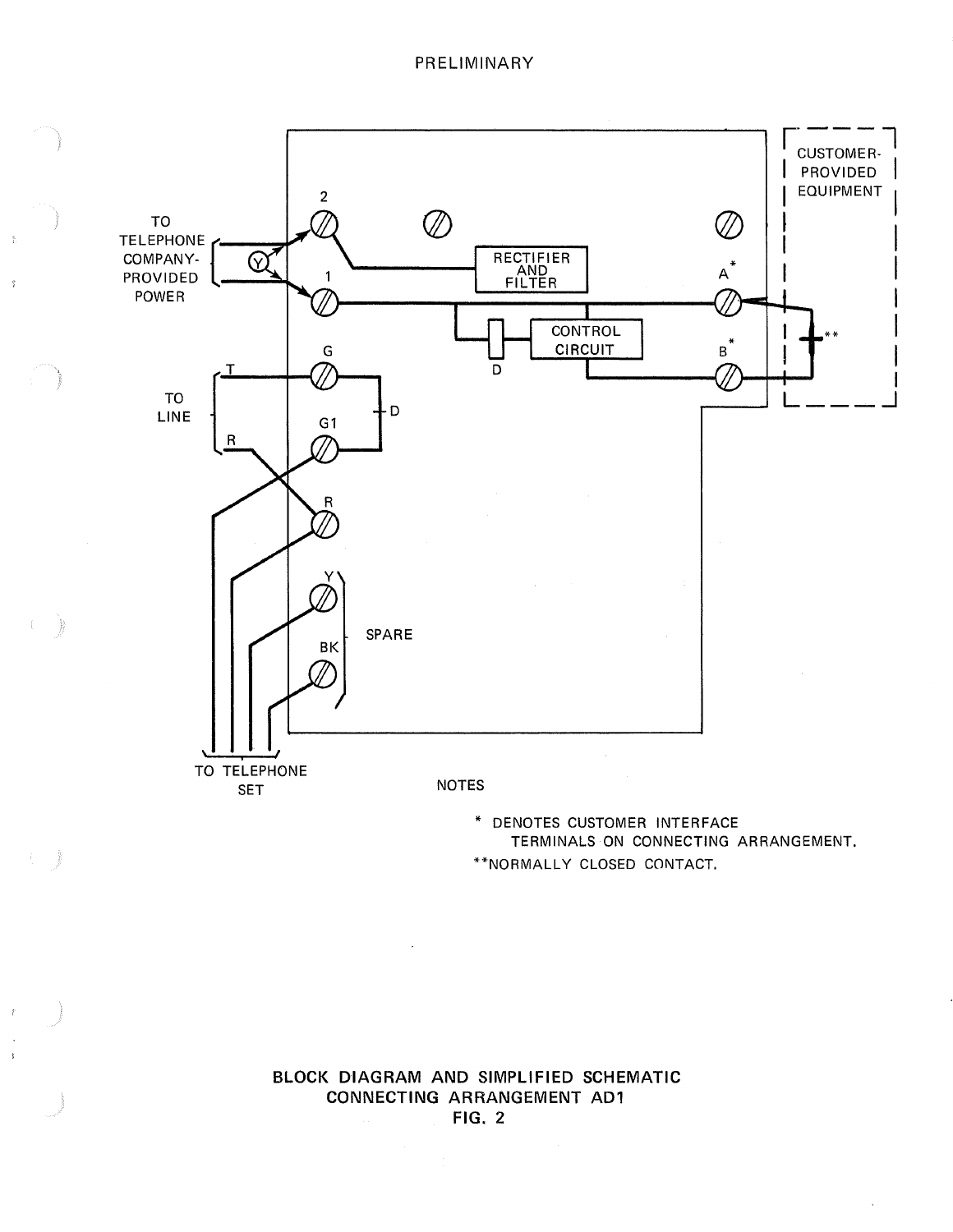$\frac{6}{L}$ 

 $\mathbb{F} \cup \mathbb{F}$ 

 $\left\{ \begin{array}{cc} 0 & 0 \\ 0 & 0 \end{array} \right\}$ 



\* DENOTES CUSTOMER INTERFACE TERMINALS ON CONNECTING ARRANGEMENT. \*\*NORMALLY CLOSED CONTACT.

**BLOCK DIAGRAM AND SIMPLIFIED SCHEMATIC CONNECTING ARRANGEMENT AD1 FIG. 2**